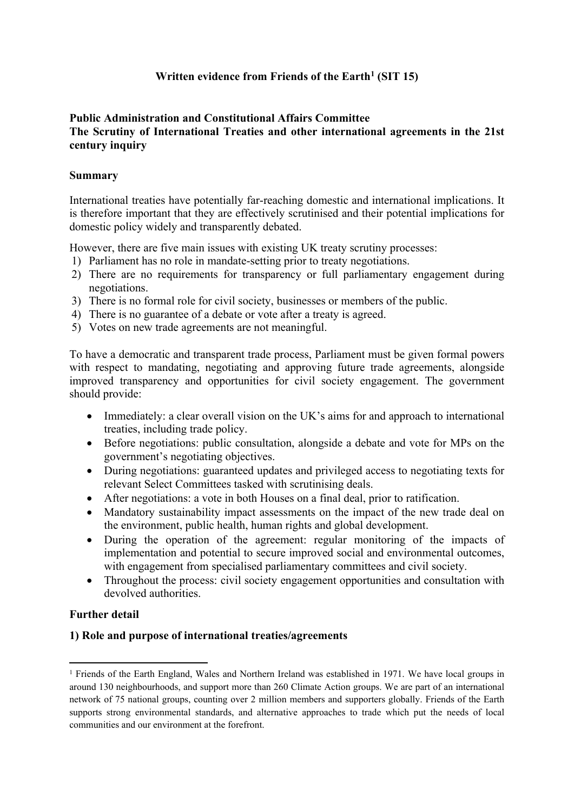# **Written evidence from Friends of the Earth<sup>1</sup> (SIT 15)**

### **Public Administration and Constitutional Affairs Committee The Scrutiny of International Treaties and other international agreements in the 21st century inquiry**

### **Summary**

International treaties have potentially far-reaching domestic and international implications. It is therefore important that they are effectively scrutinised and their potential implications for domestic policy widely and transparently debated.

However, there are five main issues with existing UK treaty scrutiny processes:

- 1) Parliament has no role in mandate-setting prior to treaty negotiations.
- 2) There are no requirements for transparency or full parliamentary engagement during negotiations.
- 3) There is no formal role for civil society, businesses or members of the public.
- 4) There is no guarantee of a debate or vote after a treaty is agreed.
- 5) Votes on new trade agreements are not meaningful.

To have a democratic and transparent trade process, Parliament must be given formal powers with respect to mandating, negotiating and approving future trade agreements, alongside improved transparency and opportunities for civil society engagement. The government should provide:

- Immediately: a clear overall vision on the UK's aims for and approach to international treaties, including trade policy.
- Before negotiations: public consultation, alongside a debate and vote for MPs on the government's negotiating objectives.
- During negotiations: guaranteed updates and privileged access to negotiating texts for relevant Select Committees tasked with scrutinising deals.
- After negotiations: a vote in both Houses on a final deal, prior to ratification.
- Mandatory sustainability impact assessments on the impact of the new trade deal on the environment, public health, human rights and global development.
- During the operation of the agreement: regular monitoring of the impacts of implementation and potential to secure improved social and environmental outcomes, with engagement from specialised parliamentary committees and civil society.
- Throughout the process: civil society engagement opportunities and consultation with devolved authorities.

## **Further detail**

#### **1) Role and purpose of international treaties/agreements**

<sup>&</sup>lt;sup>1</sup> Friends of the Earth England, Wales and Northern Ireland was established in 1971. We have local groups in around 130 neighbourhoods, and support more than 260 Climate Action groups. We are part of an international network of 75 national groups, counting over 2 million members and supporters globally. Friends of the Earth supports strong environmental standards, and alternative approaches to trade which put the needs of local communities and our environment at the forefront.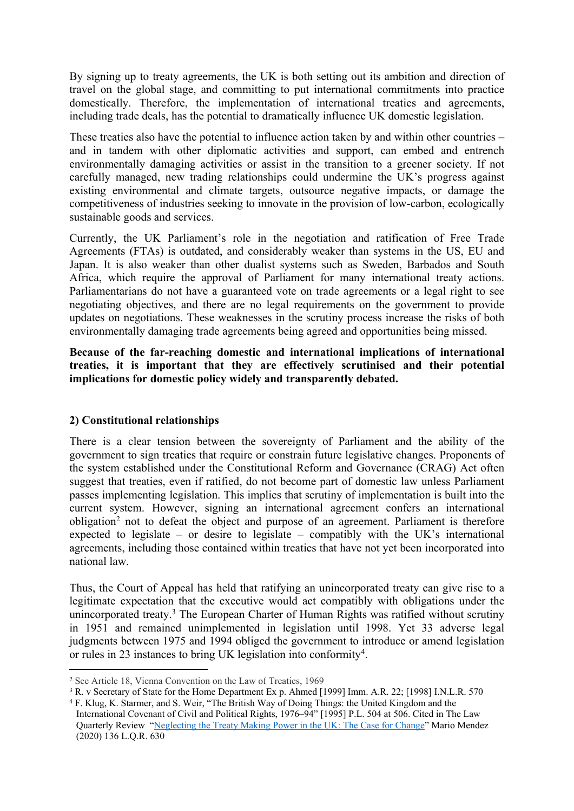By signing up to treaty agreements, the UK is both setting out its ambition and direction of travel on the global stage, and committing to put international commitments into practice domestically. Therefore, the implementation of international treaties and agreements, including trade deals, has the potential to dramatically influence UK domestic legislation.

These treaties also have the potential to influence action taken by and within other countries – and in tandem with other diplomatic activities and support, can embed and entrench environmentally damaging activities or assist in the transition to a greener society. If not carefully managed, new trading relationships could undermine the UK's progress against existing environmental and climate targets, outsource negative impacts, or damage the competitiveness of industries seeking to innovate in the provision of low-carbon, ecologically sustainable goods and services.

Currently, the UK Parliament's role in the negotiation and ratification of Free Trade Agreements (FTAs) is outdated, and considerably weaker than systems in the US, EU and Japan. It is also weaker than other dualist systems such as Sweden, Barbados and South Africa, which require the approval of Parliament for many international treaty actions. Parliamentarians do not have a guaranteed vote on trade agreements or a legal right to see negotiating objectives, and there are no legal requirements on the government to provide updates on negotiations. These weaknesses in the scrutiny process increase the risks of both environmentally damaging trade agreements being agreed and opportunities being missed.

**Because of the far-reaching domestic and international implications of international treaties, it is important that they are effectively scrutinised and their potential implications for domestic policy widely and transparently debated.**

## **2) Constitutional relationships**

There is a clear tension between the sovereignty of Parliament and the ability of the government to sign treaties that require or constrain future legislative changes. Proponents of the system established under the Constitutional Reform and Governance (CRAG) Act often suggest that treaties, even if ratified, do not become part of domestic law unless Parliament passes implementing legislation. This implies that scrutiny of implementation is built into the current system. However, signing an international agreement confers an international obligation<sup>2</sup> not to defeat the object and purpose of an agreement. Parliament is therefore expected to legislate – or desire to legislate – compatibly with the UK's international agreements, including those contained within treaties that have not yet been incorporated into national law.

Thus, the Court of Appeal has held that ratifying an unincorporated treaty can give rise to a legitimate expectation that the executive would act compatibly with obligations under the unincorporated treaty.<sup>3</sup> The European Charter of Human Rights was ratified without scrutiny in 1951 and remained unimplemented in legislation until 1998. Yet 33 adverse legal judgments between 1975 and 1994 obliged the government to introduce or amend legislation or rules in 23 instances to bring UK legislation into conformity<sup>4</sup>.

<sup>2</sup> See Article 18, Vienna Convention on the Law of Treaties, 1969

<sup>3</sup> R. v Secretary of State for the Home Department Ex p. Ahmed [1999] Imm. A.R. 22; [1998] I.N.L.R. 570

<sup>4</sup> F. Klug, K. Starmer, and S. Weir, "The British Way of Doing Things: the United Kingdom and the International Covenant of Civil and Political Rights, 1976–94" [1995] P.L. 504 at 506. Cited in The Law Quarterly Review "[Neglecting](https://www.researchgate.net/profile/Mario-Mendez-3/publication/344924299_NEGLECTING_THE_TREATY-MAKING_POWER_IN_THE_UK_THE_CASE_FOR_CHANGE/links/5f99288d92851c14bced4d52/NEGLECTING-THE-TREATY-MAKING-POWER-IN-THE-UK-THE-CASE-FOR-CHANGE.pdf) [the](https://www.researchgate.net/profile/Mario-Mendez-3/publication/344924299_NEGLECTING_THE_TREATY-MAKING_POWER_IN_THE_UK_THE_CASE_FOR_CHANGE/links/5f99288d92851c14bced4d52/NEGLECTING-THE-TREATY-MAKING-POWER-IN-THE-UK-THE-CASE-FOR-CHANGE.pdf) [Treaty](https://www.researchgate.net/profile/Mario-Mendez-3/publication/344924299_NEGLECTING_THE_TREATY-MAKING_POWER_IN_THE_UK_THE_CASE_FOR_CHANGE/links/5f99288d92851c14bced4d52/NEGLECTING-THE-TREATY-MAKING-POWER-IN-THE-UK-THE-CASE-FOR-CHANGE.pdf) [Making](https://www.researchgate.net/profile/Mario-Mendez-3/publication/344924299_NEGLECTING_THE_TREATY-MAKING_POWER_IN_THE_UK_THE_CASE_FOR_CHANGE/links/5f99288d92851c14bced4d52/NEGLECTING-THE-TREATY-MAKING-POWER-IN-THE-UK-THE-CASE-FOR-CHANGE.pdf) [Power](https://www.researchgate.net/profile/Mario-Mendez-3/publication/344924299_NEGLECTING_THE_TREATY-MAKING_POWER_IN_THE_UK_THE_CASE_FOR_CHANGE/links/5f99288d92851c14bced4d52/NEGLECTING-THE-TREATY-MAKING-POWER-IN-THE-UK-THE-CASE-FOR-CHANGE.pdf) [in](https://www.researchgate.net/profile/Mario-Mendez-3/publication/344924299_NEGLECTING_THE_TREATY-MAKING_POWER_IN_THE_UK_THE_CASE_FOR_CHANGE/links/5f99288d92851c14bced4d52/NEGLECTING-THE-TREATY-MAKING-POWER-IN-THE-UK-THE-CASE-FOR-CHANGE.pdf) [the](https://www.researchgate.net/profile/Mario-Mendez-3/publication/344924299_NEGLECTING_THE_TREATY-MAKING_POWER_IN_THE_UK_THE_CASE_FOR_CHANGE/links/5f99288d92851c14bced4d52/NEGLECTING-THE-TREATY-MAKING-POWER-IN-THE-UK-THE-CASE-FOR-CHANGE.pdf) [UK:](https://www.researchgate.net/profile/Mario-Mendez-3/publication/344924299_NEGLECTING_THE_TREATY-MAKING_POWER_IN_THE_UK_THE_CASE_FOR_CHANGE/links/5f99288d92851c14bced4d52/NEGLECTING-THE-TREATY-MAKING-POWER-IN-THE-UK-THE-CASE-FOR-CHANGE.pdf) [The](https://www.researchgate.net/profile/Mario-Mendez-3/publication/344924299_NEGLECTING_THE_TREATY-MAKING_POWER_IN_THE_UK_THE_CASE_FOR_CHANGE/links/5f99288d92851c14bced4d52/NEGLECTING-THE-TREATY-MAKING-POWER-IN-THE-UK-THE-CASE-FOR-CHANGE.pdf) [Case](https://www.researchgate.net/profile/Mario-Mendez-3/publication/344924299_NEGLECTING_THE_TREATY-MAKING_POWER_IN_THE_UK_THE_CASE_FOR_CHANGE/links/5f99288d92851c14bced4d52/NEGLECTING-THE-TREATY-MAKING-POWER-IN-THE-UK-THE-CASE-FOR-CHANGE.pdf) [for](https://www.researchgate.net/profile/Mario-Mendez-3/publication/344924299_NEGLECTING_THE_TREATY-MAKING_POWER_IN_THE_UK_THE_CASE_FOR_CHANGE/links/5f99288d92851c14bced4d52/NEGLECTING-THE-TREATY-MAKING-POWER-IN-THE-UK-THE-CASE-FOR-CHANGE.pdf) [Change"](https://www.researchgate.net/profile/Mario-Mendez-3/publication/344924299_NEGLECTING_THE_TREATY-MAKING_POWER_IN_THE_UK_THE_CASE_FOR_CHANGE/links/5f99288d92851c14bced4d52/NEGLECTING-THE-TREATY-MAKING-POWER-IN-THE-UK-THE-CASE-FOR-CHANGE.pdf) Mario Mendez (2020) 136 L.Q.R. 630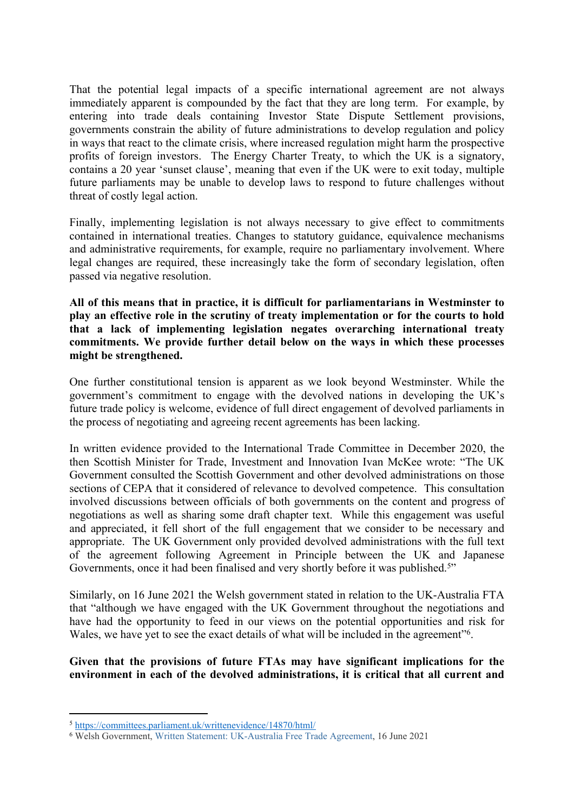That the potential legal impacts of a specific international agreement are not always immediately apparent is compounded by the fact that they are long term. For example, by entering into trade deals containing Investor State Dispute Settlement provisions, governments constrain the ability of future administrations to develop regulation and policy in ways that react to the climate crisis, where increased regulation might harm the prospective profits of foreign investors. The Energy Charter Treaty, to which the UK is a signatory, contains a 20 year 'sunset clause', meaning that even if the UK were to exit today, multiple future parliaments may be unable to develop laws to respond to future challenges without threat of costly legal action.

Finally, implementing legislation is not always necessary to give effect to commitments contained in international treaties. Changes to statutory guidance, equivalence mechanisms and administrative requirements, for example, require no parliamentary involvement. Where legal changes are required, these increasingly take the form of secondary legislation, often passed via negative resolution.

**All of this means that in practice, it is difficult for parliamentarians in Westminster to play an effective role in the scrutiny of treaty implementation or for the courts to hold that a lack of implementing legislation negates overarching international treaty commitments. We provide further detail below on the ways in which these processes might be strengthened.**

One further constitutional tension is apparent as we look beyond Westminster. While the government's commitment to engage with the devolved nations in developing the UK's future trade policy is welcome, evidence of full direct engagement of devolved parliaments in the process of negotiating and agreeing recent agreements has been lacking.

In written evidence provided to the International Trade Committee in December 2020, the then Scottish Minister for Trade, Investment and Innovation Ivan McKee wrote: "The UK Government consulted the Scottish Government and other devolved administrations on those sections of CEPA that it considered of relevance to devolved competence. This consultation involved discussions between officials of both governments on the content and progress of negotiations as well as sharing some draft chapter text. While this engagement was useful and appreciated, it fell short of the full engagement that we consider to be necessary and appropriate. The UK Government only provided devolved administrations with the full text of the agreement following Agreement in Principle between the UK and Japanese Governments, once it had been finalised and very shortly before it was published.<sup>5"</sup>

Similarly, on 16 June 2021 the Welsh government stated in relation to the UK-Australia FTA that "although we have engaged with the UK Government throughout the negotiations and have had the opportunity to feed in our views on the potential opportunities and risk for Wales, we have yet to see the exact details of what will be included in the agreement"<sup>6</sup>.

**Given that the provisions of future FTAs may have significant implications for the environment in each of the devolved administrations, it is critical that all current and**

<sup>5</sup> <https://committees.parliament.uk/writtenevidence/14870/html/>

<sup>6</sup> Welsh Government, [Written](https://gov.wales/written-statement-uk-australia-free-trade-agreement) [Statement:](https://gov.wales/written-statement-uk-australia-free-trade-agreement) [UK-Australia](https://gov.wales/written-statement-uk-australia-free-trade-agreement) [Free](https://gov.wales/written-statement-uk-australia-free-trade-agreement) [Trade](https://gov.wales/written-statement-uk-australia-free-trade-agreement) [Agreement,](https://gov.wales/written-statement-uk-australia-free-trade-agreement) 16 June 2021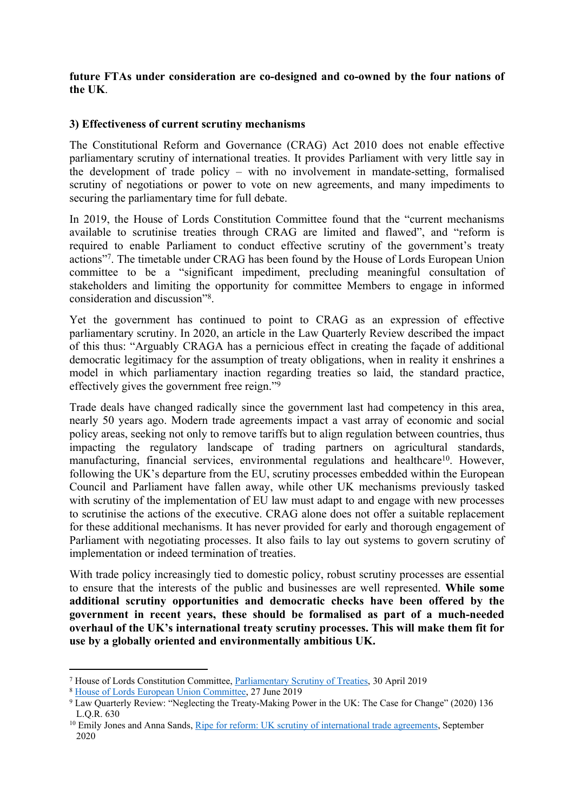#### **future FTAs under consideration are co-designed and co-owned by the four nations of the UK**.

#### **3) Effectiveness of current scrutiny mechanisms**

The Constitutional Reform and Governance (CRAG) Act 2010 does not enable effective parliamentary scrutiny of international treaties. It provides Parliament with very little say in the development of trade policy – with no involvement in mandate-setting, formalised scrutiny of negotiations or power to vote on new agreements, and many impediments to securing the parliamentary time for full debate.

In 2019, the House of Lords Constitution Committee found that the "current mechanisms available to scrutinise treaties through CRAG are limited and flawed", and "reform is required to enable Parliament to conduct effective scrutiny of the government's treaty actions"<sup>7</sup> . The timetable under CRAG has been found by the House of Lords European Union committee to be a "significant impediment, precluding meaningful consultation of stakeholders and limiting the opportunity for committee Members to engage in informed consideration and discussion"<sup>8</sup> .

Yet the government has continued to point to CRAG as an expression of effective parliamentary scrutiny. In 2020, an article in the Law Quarterly Review described the impact of this thus: "Arguably CRAGA has a pernicious effect in creating the façade of additional democratic legitimacy for the assumption of treaty obligations, when in reality it enshrines a model in which parliamentary inaction regarding treaties so laid, the standard practice, effectively gives the government free reign."<sup>9</sup>

Trade deals have changed radically since the government last had competency in this area, nearly 50 years ago. Modern trade agreements impact a vast array of economic and social policy areas, seeking not only to remove tariffs but to align regulation between countries, thus impacting the regulatory landscape of trading partners on agricultural standards, manufacturing, financial services, environmental regulations and healthcare<sup>10</sup>. However, following the UK's departure from the EU, scrutiny processes embedded within the European Council and Parliament have fallen away, while other UK mechanisms previously tasked with scrutiny of the implementation of EU law must adapt to and engage with new processes to scrutinise the actions of the executive. CRAG alone does not offer a suitable replacement for these additional mechanisms. It has never provided for early and thorough engagement of Parliament with negotiating processes. It also fails to lay out systems to govern scrutiny of implementation or indeed termination of treaties.

With trade policy increasingly tied to domestic policy, robust scrutiny processes are essential to ensure that the interests of the public and businesses are well represented. **While some additional scrutiny opportunities and democratic checks have been offered by the government in recent years, these should be formalised as part of a much-needed overhaul of the UK's international treaty scrutiny processes. This will make them fit for use by a globally oriented and environmentally ambitious UK.** 

<sup>7</sup> House of Lords Constitution Committee, [Parliamentary](https://publications.parliament.uk/pa/ld201719/ldselect/ldconst/345/34502.htm) [Scrutiny](https://publications.parliament.uk/pa/ld201719/ldselect/ldconst/345/34502.htm) [of](https://publications.parliament.uk/pa/ld201719/ldselect/ldconst/345/34502.htm) [Treaties,](https://publications.parliament.uk/pa/ld201719/ldselect/ldconst/345/34502.htm) 30 April 2019

<sup>8</sup> [House](https://publications.parliament.uk/pa/ld201719/ldselect/ldeucom/387/38705.htm) [of](https://publications.parliament.uk/pa/ld201719/ldselect/ldeucom/387/38705.htm) [Lords](https://publications.parliament.uk/pa/ld201719/ldselect/ldeucom/387/38705.htm) [European](https://publications.parliament.uk/pa/ld201719/ldselect/ldeucom/387/38705.htm) [Union](https://publications.parliament.uk/pa/ld201719/ldselect/ldeucom/387/38705.htm) [Committee](https://publications.parliament.uk/pa/ld201719/ldselect/ldeucom/387/38705.htm), 27 June 2019

<sup>9</sup> Law Quarterly Review: "Neglecting the Treaty-Making Power in the UK: The Case for Change" (2020) 136 L.Q.R. 630

<sup>&</sup>lt;sup>10</sup> Emily Jones and Anna Sands, [Ripe](https://www.geg.ox.ac.uk/sites/geg.bsg.ox.ac.uk/files/2020-09/GEG%20WP%20144%20Ripe%20for%20reform-%20UK%20scrutiny%20of%20international%20trade%20agreements_0.pdf) [for](https://www.geg.ox.ac.uk/sites/geg.bsg.ox.ac.uk/files/2020-09/GEG%20WP%20144%20Ripe%20for%20reform-%20UK%20scrutiny%20of%20international%20trade%20agreements_0.pdf) [reform:](https://www.geg.ox.ac.uk/sites/geg.bsg.ox.ac.uk/files/2020-09/GEG%20WP%20144%20Ripe%20for%20reform-%20UK%20scrutiny%20of%20international%20trade%20agreements_0.pdf) [UK](https://www.geg.ox.ac.uk/sites/geg.bsg.ox.ac.uk/files/2020-09/GEG%20WP%20144%20Ripe%20for%20reform-%20UK%20scrutiny%20of%20international%20trade%20agreements_0.pdf) [scrutiny](https://www.geg.ox.ac.uk/sites/geg.bsg.ox.ac.uk/files/2020-09/GEG%20WP%20144%20Ripe%20for%20reform-%20UK%20scrutiny%20of%20international%20trade%20agreements_0.pdf) [of](https://www.geg.ox.ac.uk/sites/geg.bsg.ox.ac.uk/files/2020-09/GEG%20WP%20144%20Ripe%20for%20reform-%20UK%20scrutiny%20of%20international%20trade%20agreements_0.pdf) [international](https://www.geg.ox.ac.uk/sites/geg.bsg.ox.ac.uk/files/2020-09/GEG%20WP%20144%20Ripe%20for%20reform-%20UK%20scrutiny%20of%20international%20trade%20agreements_0.pdf) [trade](https://www.geg.ox.ac.uk/sites/geg.bsg.ox.ac.uk/files/2020-09/GEG%20WP%20144%20Ripe%20for%20reform-%20UK%20scrutiny%20of%20international%20trade%20agreements_0.pdf) [agreements](https://www.geg.ox.ac.uk/sites/geg.bsg.ox.ac.uk/files/2020-09/GEG%20WP%20144%20Ripe%20for%20reform-%20UK%20scrutiny%20of%20international%20trade%20agreements_0.pdf), September 2020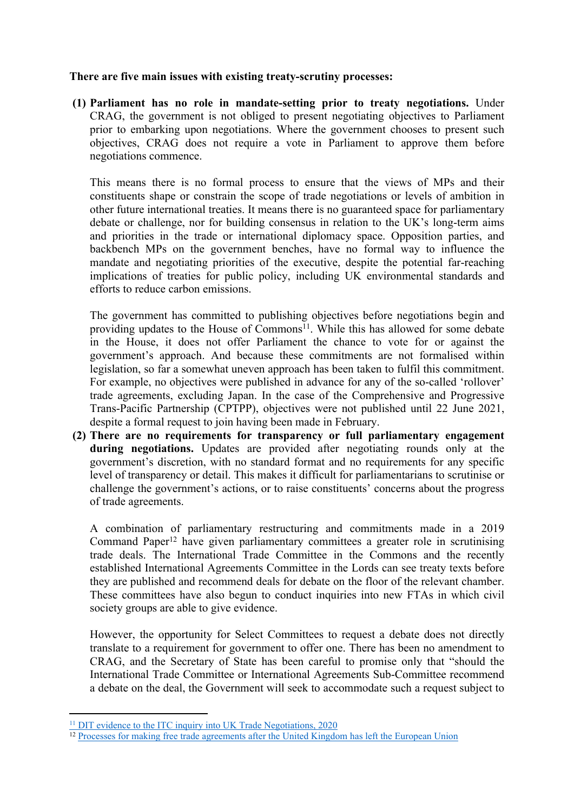### **There are five main issues with existing treaty-scrutiny processes:**

**(1) Parliament has no role in mandate-setting prior to treaty negotiations.** Under CRAG, the government is not obliged to present negotiating objectives to Parliament prior to embarking upon negotiations. Where the government chooses to present such objectives, CRAG does not require a vote in Parliament to approve them before negotiations commence.

This means there is no formal process to ensure that the views of MPs and their constituents shape or constrain the scope of trade negotiations or levels of ambition in other future international treaties. It means there is no guaranteed space for parliamentary debate or challenge, nor for building consensus in relation to the UK's long-term aims and priorities in the trade or international diplomacy space. Opposition parties, and backbench MPs on the government benches, have no formal way to influence the mandate and negotiating priorities of the executive, despite the potential far-reaching implications of treaties for public policy, including UK environmental standards and efforts to reduce carbon emissions.

The government has committed to publishing objectives before negotiations begin and providing updates to the House of Commons<sup>11</sup>. While this has allowed for some debate in the House, it does not offer Parliament the chance to vote for or against the government's approach. And because these commitments are not formalised within legislation, so far a somewhat uneven approach has been taken to fulfil this commitment. For example, no objectives were published in advance for any of the so-called 'rollover' trade agreements, excluding Japan. In the case of the Comprehensive and Progressive Trans-Pacific Partnership (CPTPP), objectives were not published until 22 June 2021, despite a formal request to join having been made in February.

**(2) There are no requirements for transparency or full parliamentary engagement during negotiations.** Updates are provided after negotiating rounds only at the government's discretion, with no standard format and no requirements for any specific level of transparency or detail. This makes it difficult for parliamentarians to scrutinise or challenge the government's actions, or to raise constituents' concerns about the progress of trade agreements.

A combination of parliamentary restructuring and commitments made in a 2019 Command Paper<sup>12</sup> have given parliamentary committees a greater role in scrutinising trade deals. The International Trade Committee in the Commons and the recently established International Agreements Committee in the Lords can see treaty texts before they are published and recommend deals for debate on the floor of the relevant chamber. These committees have also begun to conduct inquiries into new FTAs in which civil society groups are able to give evidence.

However, the opportunity for Select Committees to request a debate does not directly translate to a requirement for government to offer one. There has been no amendment to CRAG, and the Secretary of State has been careful to promise only that "should the International Trade Committee or International Agreements Sub-Committee recommend a debate on the deal, the Government will seek to accommodate such a request subject to

<sup>&</sup>lt;sup>[11](https://committees.parliament.uk/writtenevidence/8781/pdf/)</sup> [DIT](https://committees.parliament.uk/writtenevidence/8781/pdf/) [evidence](https://committees.parliament.uk/writtenevidence/8781/pdf/) [to](https://committees.parliament.uk/writtenevidence/8781/pdf/) [the](https://committees.parliament.uk/writtenevidence/8781/pdf/) [ITC](https://committees.parliament.uk/writtenevidence/8781/pdf/) [inquiry](https://committees.parliament.uk/writtenevidence/8781/pdf/) [into](https://committees.parliament.uk/writtenevidence/8781/pdf/) [UK](https://committees.parliament.uk/writtenevidence/8781/pdf/) [Trade](https://committees.parliament.uk/writtenevidence/8781/pdf/) [Negotiations,](https://committees.parliament.uk/writtenevidence/8781/pdf/) [2020](https://committees.parliament.uk/writtenevidence/8781/pdf/)

<sup>&</sup>lt;sup>12</sup> [Processes](https://assets.publishing.service.gov.uk/government/uploads/system/uploads/attachment_data/file/782176/command-paper-scrutiny-transparency-27012019.pdf) [for](https://assets.publishing.service.gov.uk/government/uploads/system/uploads/attachment_data/file/782176/command-paper-scrutiny-transparency-27012019.pdf) [making](https://assets.publishing.service.gov.uk/government/uploads/system/uploads/attachment_data/file/782176/command-paper-scrutiny-transparency-27012019.pdf) [free](https://assets.publishing.service.gov.uk/government/uploads/system/uploads/attachment_data/file/782176/command-paper-scrutiny-transparency-27012019.pdf) [trade](https://assets.publishing.service.gov.uk/government/uploads/system/uploads/attachment_data/file/782176/command-paper-scrutiny-transparency-27012019.pdf) [agreements](https://assets.publishing.service.gov.uk/government/uploads/system/uploads/attachment_data/file/782176/command-paper-scrutiny-transparency-27012019.pdf) [after](https://assets.publishing.service.gov.uk/government/uploads/system/uploads/attachment_data/file/782176/command-paper-scrutiny-transparency-27012019.pdf) [the](https://assets.publishing.service.gov.uk/government/uploads/system/uploads/attachment_data/file/782176/command-paper-scrutiny-transparency-27012019.pdf) [United](https://assets.publishing.service.gov.uk/government/uploads/system/uploads/attachment_data/file/782176/command-paper-scrutiny-transparency-27012019.pdf) [Kingdom](https://assets.publishing.service.gov.uk/government/uploads/system/uploads/attachment_data/file/782176/command-paper-scrutiny-transparency-27012019.pdf) [has](https://assets.publishing.service.gov.uk/government/uploads/system/uploads/attachment_data/file/782176/command-paper-scrutiny-transparency-27012019.pdf) [left](https://assets.publishing.service.gov.uk/government/uploads/system/uploads/attachment_data/file/782176/command-paper-scrutiny-transparency-27012019.pdf) the [European](https://assets.publishing.service.gov.uk/government/uploads/system/uploads/attachment_data/file/782176/command-paper-scrutiny-transparency-27012019.pdf) [Union](https://assets.publishing.service.gov.uk/government/uploads/system/uploads/attachment_data/file/782176/command-paper-scrutiny-transparency-27012019.pdf)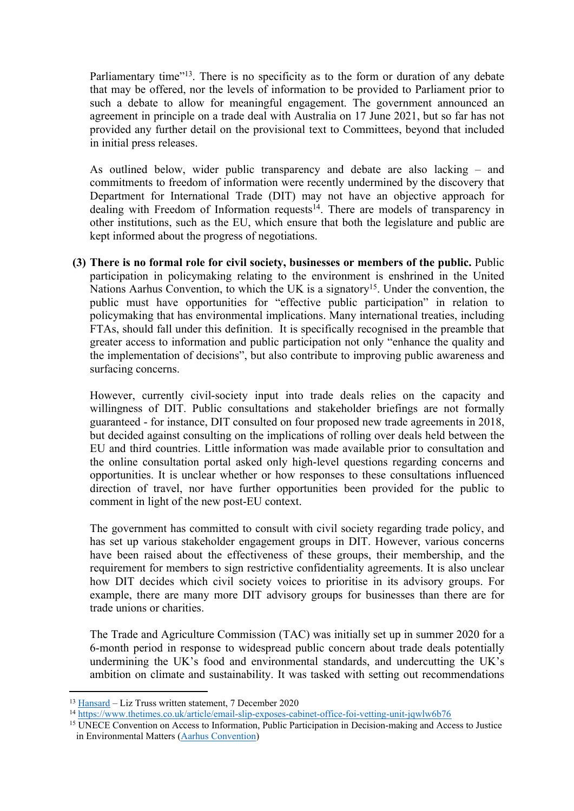Parliamentary time"<sup>13</sup>. There is no specificity as to the form or duration of any debate that may be offered, nor the levels of information to be provided to Parliament prior to such a debate to allow for meaningful engagement. The government announced an agreement in principle on a trade deal with Australia on 17 June 2021, but so far has not provided any further detail on the provisional text to Committees, beyond that included in initial press releases.

As outlined below, wider public transparency and debate are also lacking – and commitments to freedom of information were recently undermined by the discovery that Department for International Trade (DIT) may not have an objective approach for dealing with Freedom of Information requests<sup>14</sup>. There are models of transparency in other institutions, such as the EU, which ensure that both the legislature and public are kept informed about the progress of negotiations.

**(3) There is no formal role for civil society, businesses or members of the public.** Public participation in policymaking relating to the environment is enshrined in the United Nations Aarhus Convention, to which the UK is a signatory<sup>15</sup>. Under the convention, the public must have opportunities for "effective public participation" in relation to policymaking that has environmental implications. Many international treaties, including FTAs, should fall under this definition. It is specifically recognised in the preamble that greater access to information and public participation not only "enhance the quality and the implementation of decisions", but also contribute to improving public awareness and surfacing concerns.

However, currently civil-society input into trade deals relies on the capacity and willingness of DIT. Public consultations and stakeholder briefings are not formally guaranteed - for instance, DIT consulted on four proposed new trade agreements in 2018, but decided against consulting on the implications of rolling over deals held between the EU and third countries. Little information was made available prior to consultation and the online consultation portal asked only high-level questions regarding concerns and opportunities. It is unclear whether or how responses to these consultations influenced direction of travel, nor have further opportunities been provided for the public to comment in light of the new post-EU context.

The government has committed to consult with civil society regarding trade policy, and has set up various stakeholder engagement groups in DIT. However, various concerns have been raised about the effectiveness of these groups, their membership, and the requirement for members to sign restrictive confidentiality agreements. It is also unclear how DIT decides which civil society voices to prioritise in its advisory groups. For example, there are many more DIT advisory groups for businesses than there are for trade unions or charities.

The Trade and Agriculture Commission (TAC) was initially set up in summer 2020 for a 6-month period in response to widespread public concern about trade deals potentially undermining the UK's food and environmental standards, and undercutting the UK's ambition on climate and sustainability. It was tasked with setting out recommendations

<sup>13</sup> [Hansard](https://questions-statements.parliament.uk/written-statements/detail/2020-12-07/hcws623#:~:text=Should%20the%20International%20Trade%20Committee%20or%20International%20Agreements%20Sub-Committee%20recommend%20a%20debate%20on%20the%20deal%2C%20the%20Government%20will%20seek%20to%20accommodate%20such%20a%20request%20subject%20to%20Parliamentary%20time.) – Liz Truss written statement, 7 December 2020

<sup>14</sup> <https://www.thetimes.co.uk/article/email-slip-exposes-cabinet-office-foi-vetting-unit-jqwlw6b76>

<sup>15</sup> UNECE Convention on Access to Information, Public Participation in Decision-making and Access to Justice in Environmental Matters ([Aarhus](https://www.unece.org/env/pp/treatytext.html) [Convention\)](https://www.unece.org/env/pp/treatytext.html)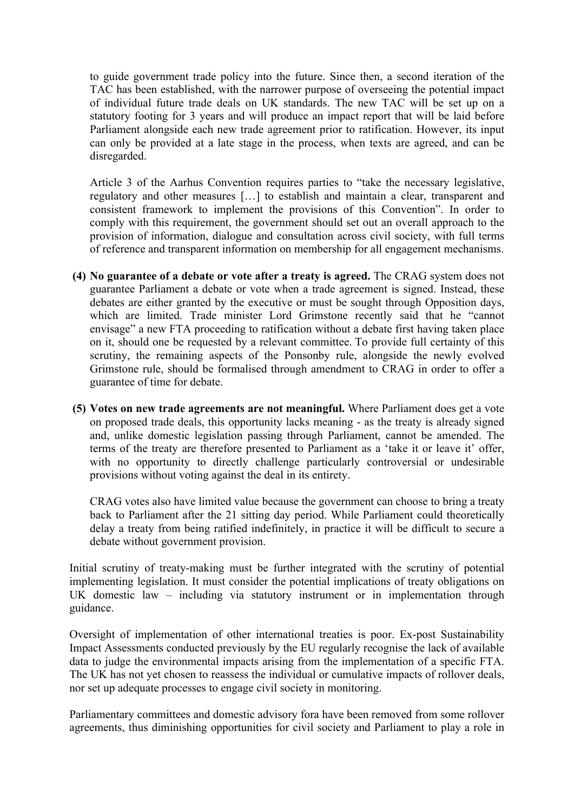to guide government trade policy into the future. Since then, a second iteration of the TAC has been established, with the narrower purpose of overseeing the potential impact of individual future trade deals on UK standards. The new TAC will be set up on a statutory footing for 3 years and will produce an impact report that will be laid before Parliament alongside each new trade agreement prior to ratification. However, its input can only be provided at a late stage in the process, when texts are agreed, and can be disregarded.

Article 3 of the Aarhus Convention requires parties to "take the necessary legislative, regulatory and other measures […] to establish and maintain a clear, transparent and consistent framework to implement the provisions of this Convention". In order to comply with this requirement, the government should set out an overall approach to the provision of information, dialogue and consultation across civil society, with full terms of reference and transparent information on membership for all engagement mechanisms.

- **(4) No guarantee of a debate or vote after a treaty is agreed.** The CRAG system does not guarantee Parliament a debate or vote when a trade agreement is signed. Instead, these debates are either granted by the executive or must be sought through Opposition days, which are limited. Trade minister Lord Grimstone recently said that he "cannot envisage" a new FTA proceeding to ratification without a debate first having taken place on it, should one be requested by a relevant committee. To provide full certainty of this scrutiny, the remaining aspects of the Ponsonby rule, alongside the newly evolved Grimstone rule, should be formalised through amendment to CRAG in order to offer a guarantee of time for debate.
- **(5) Votes on new trade agreements are not meaningful.** Where Parliament does get a vote on proposed trade deals, this opportunity lacks meaning - as the treaty is already signed and, unlike domestic legislation passing through Parliament, cannot be amended. The terms of the treaty are therefore presented to Parliament as a 'take it or leave it' offer, with no opportunity to directly challenge particularly controversial or undesirable provisions without voting against the deal in its entirety.

CRAG votes also have limited value because the government can choose to bring a treaty back to Parliament after the 21 sitting day period. While Parliament could theoretically delay a treaty from being ratified indefinitely, in practice it will be difficult to secure a debate without government provision.

Initial scrutiny of treaty-making must be further integrated with the scrutiny of potential implementing legislation. It must consider the potential implications of treaty obligations on UK domestic law – including via statutory instrument or in implementation through guidance.

Oversight of implementation of other international treaties is poor. Ex-post Sustainability Impact Assessments conducted previously by the EU regularly recognise the lack of available data to judge the environmental impacts arising from the implementation of a specific FTA. The UK has not yet chosen to reassess the individual or cumulative impacts of rollover deals, nor set up adequate processes to engage civil society in monitoring.

Parliamentary committees and domestic advisory fora have been removed from some rollover agreements, thus diminishing opportunities for civil society and Parliament to play a role in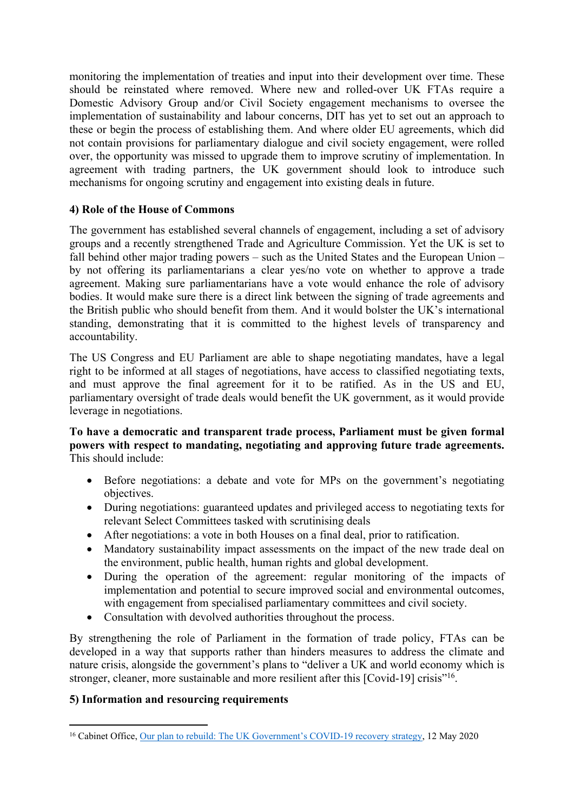monitoring the implementation of treaties and input into their development over time. These should be reinstated where removed. Where new and rolled-over UK FTAs require a Domestic Advisory Group and/or Civil Society engagement mechanisms to oversee the implementation of sustainability and labour concerns, DIT has yet to set out an approach to these or begin the process of establishing them. And where older EU agreements, which did not contain provisions for parliamentary dialogue and civil society engagement, were rolled over, the opportunity was missed to upgrade them to improve scrutiny of implementation. In agreement with trading partners, the UK government should look to introduce such mechanisms for ongoing scrutiny and engagement into existing deals in future.

# **4) Role of the House of Commons**

The government has established several channels of engagement, including a set of advisory groups and a recently strengthened Trade and Agriculture Commission. Yet the UK is set to fall behind other major trading powers – such as the United States and the European Union – by not offering its parliamentarians a clear yes/no vote on whether to approve a trade agreement. Making sure parliamentarians have a vote would enhance the role of advisory bodies. It would make sure there is a direct link between the signing of trade agreements and the British public who should benefit from them. And it would bolster the UK's international standing, demonstrating that it is committed to the highest levels of transparency and accountability.

The US Congress and EU Parliament are able to shape negotiating mandates, have a legal right to be informed at all stages of negotiations, have access to classified negotiating texts, and must approve the final agreement for it to be ratified. As in the US and EU, parliamentary oversight of trade deals would benefit the UK government, as it would provide leverage in negotiations.

## **To have a democratic and transparent trade process, Parliament must be given formal powers with respect to mandating, negotiating and approving future trade agreements.** This should include:

- Before negotiations: a debate and vote for MPs on the government's negotiating objectives.
- During negotiations: guaranteed updates and privileged access to negotiating texts for relevant Select Committees tasked with scrutinising deals
- After negotiations: a vote in both Houses on a final deal, prior to ratification.
- Mandatory sustainability impact assessments on the impact of the new trade deal on the environment, public health, human rights and global development.
- During the operation of the agreement: regular monitoring of the impacts of implementation and potential to secure improved social and environmental outcomes, with engagement from specialised parliamentary committees and civil society.
- Consultation with devolved authorities throughout the process.

By strengthening the role of Parliament in the formation of trade policy, FTAs can be developed in a way that supports rather than hinders measures to address the climate and nature crisis, alongside the government's plans to "deliver a UK and world economy which is stronger, cleaner, more sustainable and more resilient after this [Covid-19] crisis"<sup>16</sup>.

## **5) Information and resourcing requirements**

<sup>&</sup>lt;sup>16</sup> Cabinet Office, [Our](https://assets.publishing.service.gov.uk/government/uploads/system/uploads/attachment_data/file/884760/Our_plan_to_rebuild_The_UK_Government_s_COVID-19_recovery_strategy.pdf) [plan](https://assets.publishing.service.gov.uk/government/uploads/system/uploads/attachment_data/file/884760/Our_plan_to_rebuild_The_UK_Government_s_COVID-19_recovery_strategy.pdf) [to](https://assets.publishing.service.gov.uk/government/uploads/system/uploads/attachment_data/file/884760/Our_plan_to_rebuild_The_UK_Government_s_COVID-19_recovery_strategy.pdf) [rebuild:](https://assets.publishing.service.gov.uk/government/uploads/system/uploads/attachment_data/file/884760/Our_plan_to_rebuild_The_UK_Government_s_COVID-19_recovery_strategy.pdf) [The](https://assets.publishing.service.gov.uk/government/uploads/system/uploads/attachment_data/file/884760/Our_plan_to_rebuild_The_UK_Government_s_COVID-19_recovery_strategy.pdf) [UK](https://assets.publishing.service.gov.uk/government/uploads/system/uploads/attachment_data/file/884760/Our_plan_to_rebuild_The_UK_Government_s_COVID-19_recovery_strategy.pdf) [Government's](https://assets.publishing.service.gov.uk/government/uploads/system/uploads/attachment_data/file/884760/Our_plan_to_rebuild_The_UK_Government_s_COVID-19_recovery_strategy.pdf) [COVID-19](https://assets.publishing.service.gov.uk/government/uploads/system/uploads/attachment_data/file/884760/Our_plan_to_rebuild_The_UK_Government_s_COVID-19_recovery_strategy.pdf) [recovery](https://assets.publishing.service.gov.uk/government/uploads/system/uploads/attachment_data/file/884760/Our_plan_to_rebuild_The_UK_Government_s_COVID-19_recovery_strategy.pdf) [strategy](https://assets.publishing.service.gov.uk/government/uploads/system/uploads/attachment_data/file/884760/Our_plan_to_rebuild_The_UK_Government_s_COVID-19_recovery_strategy.pdf), 12 May 2020